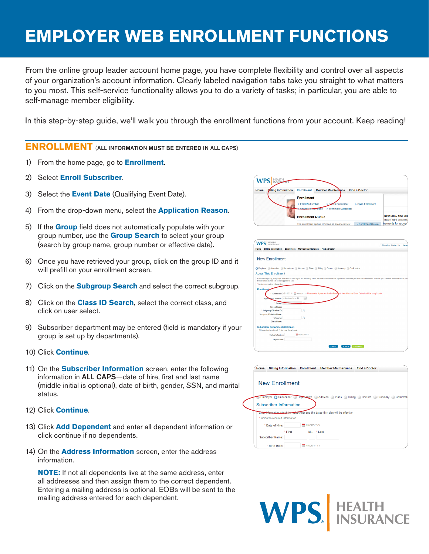# **EMPLOYER WEB ENROLLMENT FUNCTIONS**

From the online group leader account home page, you have complete flexibility and control over all aspects of your organization's account information. Clearly labeled navigation tabs take you straight to what matters to you most. This self-service functionality allows you to do a variety of tasks; in particular, you are able to self-manage member eligibility.

In this step-by-step guide, we'll walk you through the enrollment functions from your account. Keep reading!

#### **ENROLLMENT** (ALL INFORMATION MUST BE ENTERED IN ALL CAPS)

- 1) From the home page, go to **Enrollment**.
- 2) Select **Enroll Subscriber**.
- 3) Select the **Event Date** (Qualifying Event Date).
- 4) From the drop-down menu, select the **Application Reason**.
- 5) If the **Group** field does not automatically populate with your group number, use the **Group Search** to select your group (search by group name, group number or effective date).
- 6) Once you have retrieved your group, click on the group ID and it will prefill on your enrollment screen.
- 7) Click on the **Subgroup Search** and select the correct subgroup.
- 8) Click on the **Class ID Search**, select the correct class, and click on user select.
- 9) Subscriber department may be entered (field is mandatory if your group is set up by departments).
- 10) Click **Continue**.
- 11) On the **Subscriber Information** screen, enter the following information in ALL CAPS—date of hire, first and last name (middle initial is optional), date of birth, gender, SSN, and marital status.
- 12) Click **Continue**.
- 13) Click **Add Dependent** and enter all dependent information or click continue if no dependents.
- 14) On the **Address Information** screen, enter the address information.

**NOTE:** If not all dependents live at the same address, enter all addresses and then assign them to the correct dependent. Entering a mailing address is optional. EOBs will be sent to the mailing address entered for each dependent.



| <b>HEALTH</b><br>INSURANCE                                                                     |                   |                           |                      |                                                                                                                                                                                         | Reporting Contact Us | Manar |
|------------------------------------------------------------------------------------------------|-------------------|---------------------------|----------------------|-----------------------------------------------------------------------------------------------------------------------------------------------------------------------------------------|----------------------|-------|
| <b>Billing Information</b><br>Home                                                             | <b>Enrollment</b> | <b>Member Maintenance</b> | <b>Find a Doctor</b> |                                                                                                                                                                                         |                      |       |
|                                                                                                |                   |                           |                      |                                                                                                                                                                                         |                      |       |
| <b>New Enrollment</b>                                                                          |                   |                           |                      |                                                                                                                                                                                         |                      |       |
| C Employer Subscriber C Dependents Address C Plans C Biling C Doctors C Summary C Confirmation |                   |                           |                      |                                                                                                                                                                                         |                      |       |
| <b>About This Enrollment</b>                                                                   |                   |                           |                      |                                                                                                                                                                                         |                      |       |
| the information has not been supplied to you.                                                  |                   |                           |                      | Choose the group, subgroup, and class in which you are enrolling. Enter the effective date of the agreement between you and the Health Plan. Consult your benefits administrator if you |                      |       |
| * Indicates required information                                                               |                   |                           |                      |                                                                                                                                                                                         |                      |       |
| Enrollment                                                                                     |                   |                           |                      |                                                                                                                                                                                         |                      |       |
|                                                                                                |                   |                           |                      | * Event Date: 12/16/2015   IMMIDDIVYYY Please note: If your Application Reason is New Hire, the Event Date should be today's date.                                                      |                      |       |
| * Application Reason: Adoption of a child                                                      |                   | $\checkmark$              |                      |                                                                                                                                                                                         |                      |       |
| * Group:                                                                                       |                   |                           |                      |                                                                                                                                                                                         |                      |       |
| <b>Group Name:</b>                                                                             |                   |                           |                      |                                                                                                                                                                                         |                      |       |
| * Subgroup/Division ID:                                                                        |                   | A                         |                      |                                                                                                                                                                                         |                      |       |
| <b>Subgroup/Division Name:</b>                                                                 |                   |                           |                      |                                                                                                                                                                                         |                      |       |
| * Class ID:                                                                                    |                   | я                         |                      |                                                                                                                                                                                         |                      |       |
| <b>Class Name:</b>                                                                             |                   |                           |                      |                                                                                                                                                                                         |                      |       |
| <b>Subscriber Department (Optional)</b>                                                        |                   |                           |                      |                                                                                                                                                                                         |                      |       |
| This section is optional. Enter your department.                                               |                   |                           |                      |                                                                                                                                                                                         |                      |       |
| <b>Status Effective:</b>                                                                       |                   | <b>MADDAYYYY</b>          |                      |                                                                                                                                                                                         |                      |       |
| Department:                                                                                    |                   |                           |                      |                                                                                                                                                                                         |                      |       |
|                                                                                                |                   |                           |                      |                                                                                                                                                                                         |                      |       |
|                                                                                                |                   |                           | Cancel               | Continue ><br>< Back                                                                                                                                                                    |                      |       |
|                                                                                                |                   |                           |                      |                                                                                                                                                                                         |                      |       |

| Home | <b>Billing Information</b>                          | Enrollment           | Member Maintenance Find a Doctor                                                  |                                                                                 |  |
|------|-----------------------------------------------------|----------------------|-----------------------------------------------------------------------------------|---------------------------------------------------------------------------------|--|
|      | <b>New Enrollment</b>                               |                      |                                                                                   |                                                                                 |  |
|      |                                                     |                      |                                                                                   | Employer Subscriber Dependents Address Plans Billing Doctors Summary Confirmati |  |
|      |                                                     |                      |                                                                                   |                                                                                 |  |
|      | Subscriber Information                              |                      |                                                                                   |                                                                                 |  |
|      |                                                     |                      | Enter information about the subscriber and the dates this plan will be effective. |                                                                                 |  |
|      | * Indicates required information<br>* Date of Hire: | <b>ED MM/DD/YYYY</b> |                                                                                   |                                                                                 |  |
|      | * First                                             | M.I. * Last          |                                                                                   |                                                                                 |  |
|      | <b>Subscriber Name:</b>                             |                      |                                                                                   |                                                                                 |  |

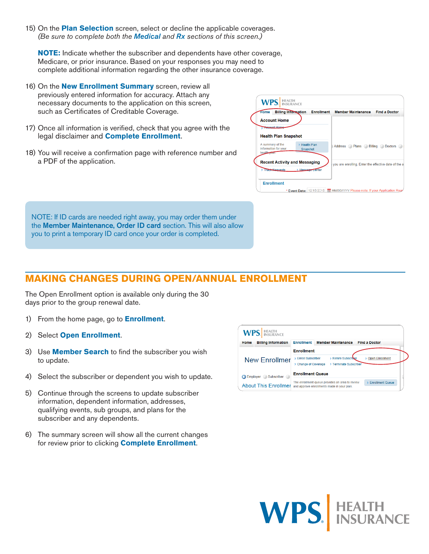15) On the **Plan Selection** screen, select or decline the applicable coverages. *(Be sure to complete both the Medical and Rx sections of this screen.)*

**NOTE:** Indicate whether the subscriber and dependents have other coverage, Medicare, or prior insurance. Based on your responses you may need to complete additional information regarding the other insurance coverage.

- 16) On the **New Enrollment Summary** screen, review all previously entered information for accuracy. Attach any necessary documents to the application on this screen, such as Certificates of Creditable Coverage.
- 17) Once all information is verified, check that you agree with the legal disclaimer and **Complete Enrollment**.
- 18) You will receive a confirmation page with reference number and a PDF of the application.



NOTE: If ID cards are needed right away, you may order them under the Member Maintenance, Order ID card section. This will also allow you to print a temporary ID card once your order is completed.

## **MAKING CHANGES DURING OPEN/ANNUAL ENROLLMENT**

The Open Enrollment option is available only during the 30 days prior to the group renewal date.

- 1) From the home page, go to **Enrollment**.
- 2) Select **Open Enrollment**.
- 3) Use **Member Search** to find the subscriber you wish to update.
- 4) Select the subscriber or dependent you wish to update.
- 5) Continue through the screens to update subscriber information, dependent information, addresses, qualifying events, sub groups, and plans for the subscriber and any dependents.
- 6) The summary screen will show all the current changes for review prior to clicking **Complete Enrollment**.

|                             | <b>WPS.</b> HEALTH         |                                                                      |                                                                                               |                         |
|-----------------------------|----------------------------|----------------------------------------------------------------------|-----------------------------------------------------------------------------------------------|-------------------------|
| Home                        | <b>Billing Information</b> | <b>Enrollment</b>                                                    | <b>Member Maintenance</b>                                                                     | <b>Find a Doctor</b>    |
|                             | New Enrollmer              | <b>F</b> nrollment<br><b>Enroll Subscriber</b><br>Change of Coverage | Rehire Subscriber<br><b>&gt; Terminate Subscriber</b>                                         | <b>Dpen Enrollment</b>  |
| <b>B</b> Employer           | Subscriber (               | <b>Enrollment Queue</b>                                              |                                                                                               |                         |
| <b>About This Enrollmer</b> |                            |                                                                      | The enrollment queue provides an area to review<br>and approve enrollments made in your plan. | <b>Enrollment Queue</b> |

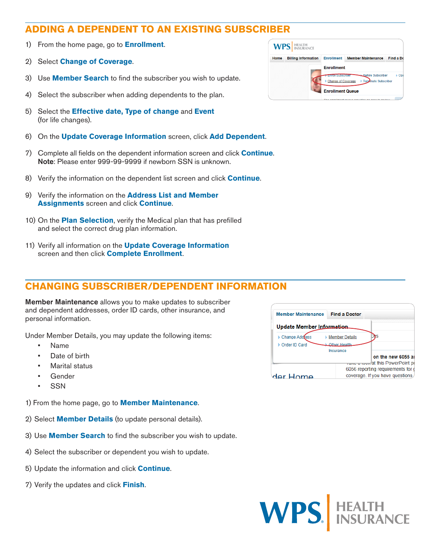#### **ADDING A DEPENDENT TO AN EXISTING SUBSCRIBER**

- 1) From the home page, go to **Enrollment**.
- 2) Select **Change of Coverage**.
- 3) Use **Member Search** to find the subscriber you wish to update.
- 4) Select the subscriber when adding dependents to the plan.
- 5) Select the **Effective date, Type of change** and **Event** (for life changes).
- 6) On the **Update Coverage Information** screen, click **Add Dependent**.
- 7) Complete all fields on the dependent information screen and click **Continue**. Note: Please enter 999-99-9999 if newborn SSN is unknown.
- 8) Verify the information on the dependent list screen and click **Continue**.
- 9) Verify the information on the **Address List and Member Assignments** screen and click **Continue**.
- 10) On the **Plan Selection**, verify the Medical plan that has prefilled and select the correct drug plan information.
- 11) Verify all information on the **Update Coverage Information** screen and then click **Complete Enrollment**.

### **CHANGING SUBSCRIBER/DEPENDENT INFORMATION**

Member Maintenance allows you to make updates to subscriber and dependent addresses, order ID cards, other insurance, and personal information.

Under Member Details, you may update the following items:

- Name
- Date of birth
- **Marital status**
- **Gender**
- **SSN**

1) From the home page, go to **Member Maintenance**.

- 2) Select **Member Details** (to update personal details).
- 3) Use **Member Search** to find the subscriber you wish to update.
- 4) Select the subscriber or dependent you wish to update.
- 5) Update the information and click **Continue**.
- 7) Verify the updates and click **Finish**.

|      | <b>WPS.</b> HEALTH         |                                                                                                  |                                           |           |
|------|----------------------------|--------------------------------------------------------------------------------------------------|-------------------------------------------|-----------|
| Home | <b>Billing Information</b> | <b>Enrollment</b>                                                                                | <b>Member Maintenance</b>                 | Find a Dd |
|      |                            | <b>Enrollment</b><br><b>MILOR SUBSCRIPTER</b><br>> Change of Coverage<br><b>Enrollment Queue</b> | Rehire Subscriber<br>Terminate Subscriber | Ope       |

| <b>Member Maintenance</b> | <b>Find a Doctor</b>  |                                                         |
|---------------------------|-----------------------|---------------------------------------------------------|
| Update Member Information |                       |                                                         |
| Change Address            | <b>Member Details</b> | CG S                                                    |
| <b>Order ID Card</b>      | <u>A Other Health</u> |                                                         |
|                           | Insurance             |                                                         |
|                           |                       | on the new 6055 at<br>rune a room at this PowerPoint pr |
|                           |                       | 6056 reporting requirements for                         |
| ar Home                   |                       | coverage. If you have questions                         |